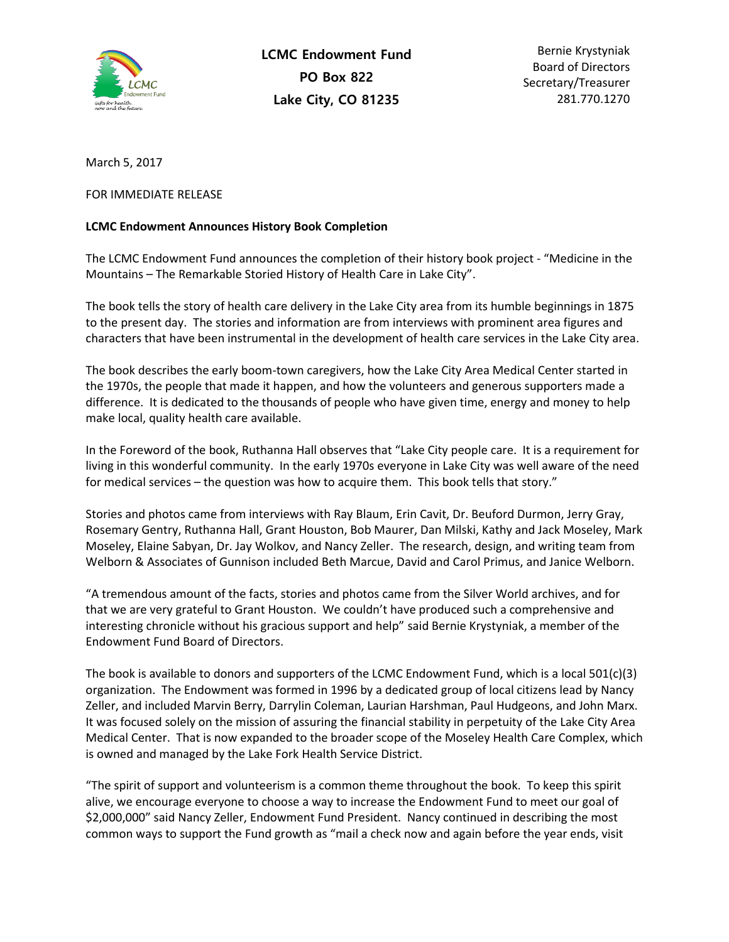

Bernie Krystyniak Board of Directors Secretary/Treasurer 281.770.1270

March 5, 2017

## FOR IMMEDIATE RELEASE

## **LCMC Endowment Announces History Book Completion**

The LCMC Endowment Fund announces the completion of their history book project - "Medicine in the Mountains – The Remarkable Storied History of Health Care in Lake City".

The book tells the story of health care delivery in the Lake City area from its humble beginnings in 1875 to the present day. The stories and information are from interviews with prominent area figures and characters that have been instrumental in the development of health care services in the Lake City area.

The book describes the early boom-town caregivers, how the Lake City Area Medical Center started in the 1970s, the people that made it happen, and how the volunteers and generous supporters made a difference. It is dedicated to the thousands of people who have given time, energy and money to help make local, quality health care available.

In the Foreword of the book, Ruthanna Hall observes that "Lake City people care. It is a requirement for living in this wonderful community. In the early 1970s everyone in Lake City was well aware of the need for medical services – the question was how to acquire them. This book tells that story."

Stories and photos came from interviews with Ray Blaum, Erin Cavit, Dr. Beuford Durmon, Jerry Gray, Rosemary Gentry, Ruthanna Hall, Grant Houston, Bob Maurer, Dan Milski, Kathy and Jack Moseley, Mark Moseley, Elaine Sabyan, Dr. Jay Wolkov, and Nancy Zeller. The research, design, and writing team from Welborn & Associates of Gunnison included Beth Marcue, David and Carol Primus, and Janice Welborn.

"A tremendous amount of the facts, stories and photos came from the Silver World archives, and for that we are very grateful to Grant Houston. We couldn't have produced such a comprehensive and interesting chronicle without his gracious support and help" said Bernie Krystyniak, a member of the Endowment Fund Board of Directors.

The book is available to donors and supporters of the LCMC Endowment Fund, which is a local 501(c)(3) organization. The Endowment was formed in 1996 by a dedicated group of local citizens lead by Nancy Zeller, and included Marvin Berry, Darrylin Coleman, Laurian Harshman, Paul Hudgeons, and John Marx. It was focused solely on the mission of assuring the financial stability in perpetuity of the Lake City Area Medical Center. That is now expanded to the broader scope of the Moseley Health Care Complex, which is owned and managed by the Lake Fork Health Service District.

"The spirit of support and volunteerism is a common theme throughout the book. To keep this spirit alive, we encourage everyone to choose a way to increase the Endowment Fund to meet our goal of \$2,000,000" said Nancy Zeller, Endowment Fund President. Nancy continued in describing the most common ways to support the Fund growth as "mail a check now and again before the year ends, visit